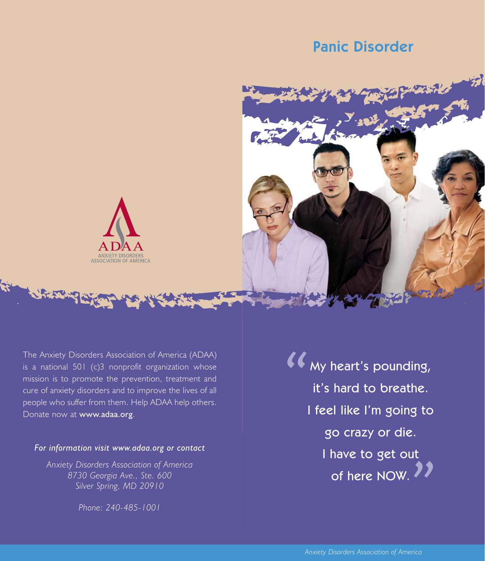# Panic Disorder





The Anxiety Disorders Association of America (ADAA) is a national 501 (c)3 nonprofit organization whose mission is to promote the prevention, treatment and cure of anxiety disorders and to improve the lives of all people who suffer from them. Help ADAA help others. Donate now at www.adaa.org.

### *For information visit www.adaa.org or contact*

*Anxiety Disorders Association of America 8730 Georgia Ave., Ste. 600 Silver Spring, MD 20910*

*Phone: 240-485-1001*

 $\sum$  $\frac{1}{\sqrt{2}}$ My heart's pounding, it's hard to breathe. I feel like I'm going to go crazy or die. I have to get out of here NOW.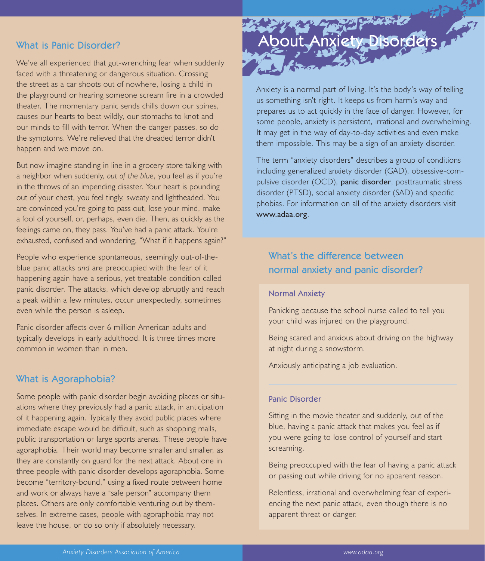# What is Panic Disorder?

We've all experienced that gut-wrenching fear when suddenly faced with a threatening or dangerous situation. Crossing the street as a car shoots out of nowhere, losing a child in the playground or hearing someone scream fire in a crowded theater. The momentary panic sends chills down our spines, causes our hearts to beat wildly, our stomachs to knot and our minds to fill with terror. When the danger passes, so do the symptoms. We're relieved that the dreaded terror didn't happen and we move on.

But now imagine standing in line in a grocery store talking with a neighbor when suddenly, *out of the blue*, you feel as if you're in the throws of an impending disaster. Your heart is pounding out of your chest, you feel tingly, sweaty and lightheaded. You are convinced you're going to pass out, lose your mind, make a fool of yourself, or, perhaps, even die. Then, as quickly as the feelings came on, they pass. You've had a panic attack. You're exhausted, confused and wondering, "What if it happens again?"

People who experience spontaneous, seemingly out-of-theblue panic attacks *and* are preoccupied with the fear of it happening again have a serious, yet treatable condition called panic disorder. The attacks, which develop abruptly and reach a peak within a few minutes, occur unexpectedly, sometimes even while the person is asleep.

Panic disorder affects over 6 million American adults and typically develops in early adulthood. It is three times more common in women than in men.

# What is Agoraphobia?

Some people with panic disorder begin avoiding places or situations where they previously had a panic attack, in anticipation of it happening again. Typically they avoid public places where immediate escape would be difficult, such as shopping malls, public transportation or large sports arenas. These people have agoraphobia. Their world may become smaller and smaller, as they are constantly on guard for the next attack. About one in three people with panic disorder develops agoraphobia. Some become "territory-bound," using a fixed route between home and work or always have a "safe person" accompany them places. Others are only comfortable venturing out by themselves. In extreme cases, people with agoraphobia may not leave the house, or do so only if absolutely necessary.

# Louit Anxiety Disorders

Anxiety is a normal part of living. It's the body's way of telling us something isn't right. It keeps us from harm's way and prepares us to act quickly in the face of danger. However, for some people, anxiety is persistent, irrational and overwhelming. It may get in the way of day-to-day activities and even make them impossible. This may be a sign of an anxiety disorder.

The term "anxiety disorders" describes a group of conditions including generalized anxiety disorder (GAD), obsessive-compulsive disorder (OCD), panic disorder, posttraumatic stress disorder (PTSD), social anxiety disorder (SAD) and specific phobias. For information on all of the anxiety disorders visit www.adaa.org.

# What's the difference between normal anxiety and panic disorder?

#### Normal Anxiety

Panicking because the school nurse called to tell you your child was injured on the playground.

Being scared and anxious about driving on the highway at night during a snowstorm.

Anxiously anticipating a job evaluation.

#### Panic Disorder

Sitting in the movie theater and suddenly, out of the blue, having a panic attack that makes you feel as if you were going to lose control of yourself and start screaming.

Being preoccupied with the fear of having a panic attack or passing out while driving for no apparent reason.

Relentless, irrational and overwhelming fear of experiencing the next panic attack, even though there is no apparent threat or danger.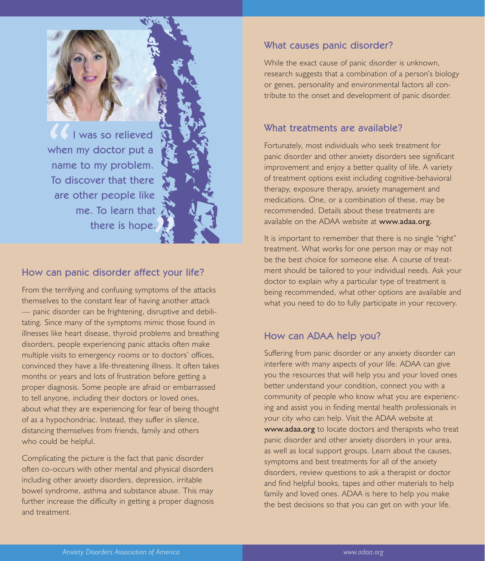

When<br>
name<br>
To di I was so relieved when my doctor put a name to my problem. To discover that there are other people like me. To learn that there is hope.

# How can panic disorder affect your life?

From the terrifying and confusing symptoms of the attacks themselves to the constant fear of having another attack — panic disorder can be frightening, disruptive and debilitating. Since many of the symptoms mimic those found in illnesses like heart disease, thyroid problems and breathing disorders, people experiencing panic attacks often make multiple visits to emergency rooms or to doctors' offices, convinced they have a life-threatening illness. It often takes months or years and lots of frustration before getting a proper diagnosis. Some people are afraid or embarrassed to tell anyone, including their doctors or loved ones, about what they are experiencing for fear of being thought of as a hypochondriac. Instead, they suffer in silence, distancing themselves from friends, family and others who could be helpful.

Complicating the picture is the fact that panic disorder often co-occurs with other mental and physical disorders including other anxiety disorders, depression, irritable bowel syndrome, asthma and substance abuse. This may further increase the difficulty in getting a proper diagnosis and treatment.

# What causes panic disorder?

While the exact cause of panic disorder is unknown, research suggests that a combination of a person's biology or genes, personality and environmental factors all contribute to the onset and development of panic disorder.

## What treatments are available?

Fortunately, most individuals who seek treatment for panic disorder and other anxiety disorders see significant improvement and enjoy a better quality of life. A variety of treatment options exist including cognitive-behavioral therapy, exposure therapy, anxiety management and medications. One, or a combination of these, may be recommended. Details about these treatments are available on the ADAA website at www.adaa.org.

It is important to remember that there is no single "right" treatment. What works for one person may or may not be the best choice for someone else. A course of treatment should be tailored to your individual needs. Ask your doctor to explain why a particular type of treatment is being recommended, what other options are available and what you need to do to fully participate in your recovery.

# How can ADAA help you?

Suffering from panic disorder or any anxiety disorder can interfere with many aspects of your life. ADAA can give you the resources that will help you and your loved ones better understand your condition, connect you with a community of people who know what you are experiencing and assist you in finding mental health professionals in your city who can help. Visit the ADAA website at www.adaa.org to locate doctors and therapists who treat panic disorder and other anxiety disorders in your area, as well as local support groups. Learn about the causes, symptoms and best treatments for all of the anxiety disorders, review questions to ask a therapist or doctor and find helpful books, tapes and other materials to help family and loved ones. ADAA is here to help you make the best decisions so that you can get on with your life.